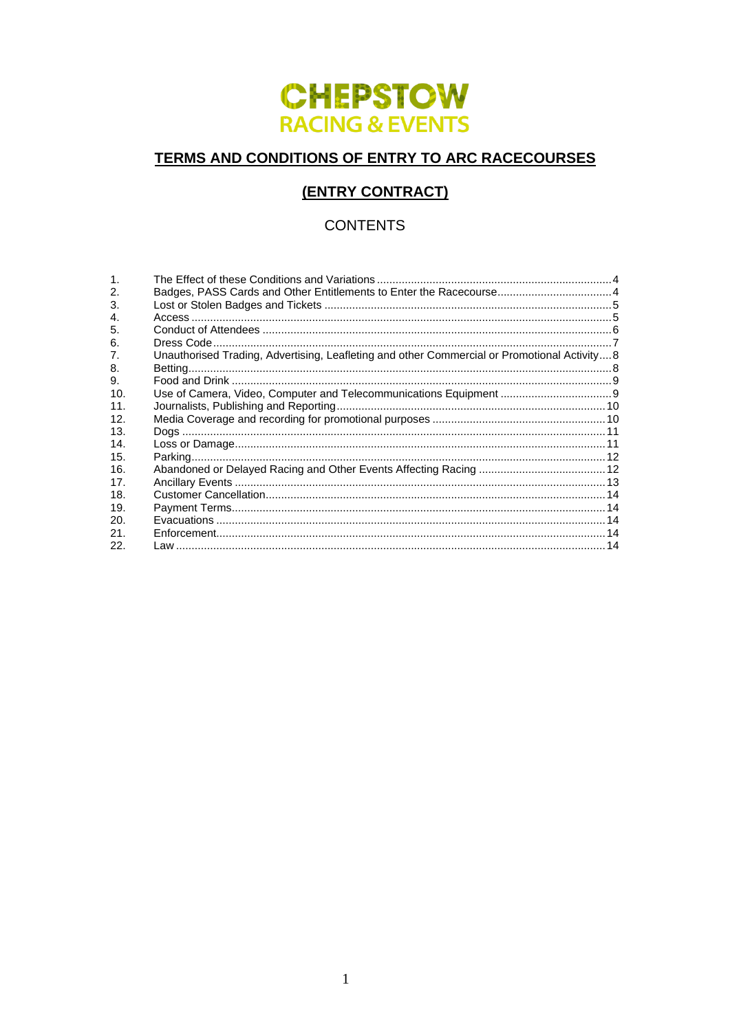# **CHEPSTOW RACING & EVENTS**

# TERMS AND CONDITIONS OF ENTRY TO ARC RACECOURSES

# **(ENTRY CONTRACT)**

# **CONTENTS**

| $\mathbf{1}$ .  |                                                                                              |  |
|-----------------|----------------------------------------------------------------------------------------------|--|
| 2.              | Badges, PASS Cards and Other Entitlements to Enter the Racecourse 4                          |  |
| 3.              |                                                                                              |  |
| $\mathbf{A}$ .  |                                                                                              |  |
| 5.              |                                                                                              |  |
| 6.              |                                                                                              |  |
| 7.              | Unauthorised Trading, Advertising, Leafleting and other Commercial or Promotional Activity 8 |  |
| 8.              |                                                                                              |  |
| 9.              |                                                                                              |  |
| 10.             |                                                                                              |  |
| 11 <sub>1</sub> |                                                                                              |  |
| 12.             |                                                                                              |  |
| 13.             |                                                                                              |  |
| 14.             |                                                                                              |  |
| 15.             |                                                                                              |  |
| 16.             |                                                                                              |  |
| 17 <sub>1</sub> |                                                                                              |  |
| 18.             |                                                                                              |  |
| 19.             |                                                                                              |  |
| 20.             |                                                                                              |  |
| 21.             |                                                                                              |  |
| 22.             |                                                                                              |  |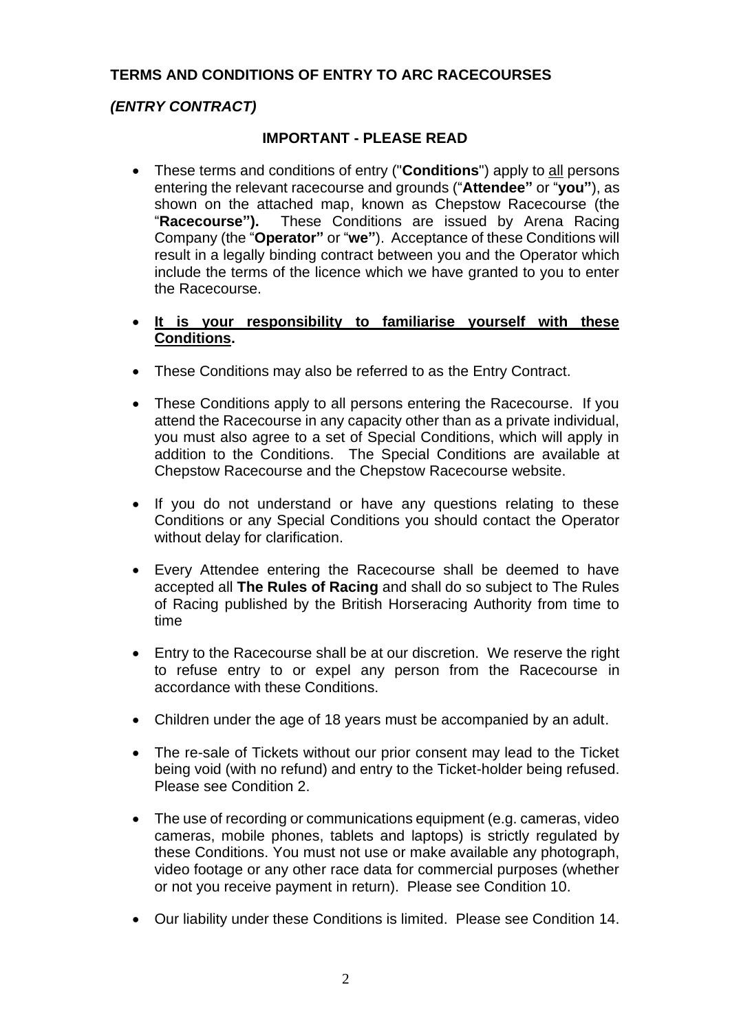# **TERMS AND CONDITIONS OF ENTRY TO ARC RACECOURSES**

# *(ENTRY CONTRACT)*

#### **IMPORTANT - PLEASE READ**

• These terms and conditions of entry ("**Conditions**") apply to all persons entering the relevant racecourse and grounds ("**Attendee"** or "**you"**), as shown on the attached map, known as Chepstow Racecourse (the "**Racecourse").** These Conditions are issued by Arena Racing Company (the "**Operator"** or "**we"**). Acceptance of these Conditions will result in a legally binding contract between you and the Operator which include the terms of the licence which we have granted to you to enter the Racecourse.

#### • **It is your responsibility to familiarise yourself with these Conditions.**

- These Conditions may also be referred to as the Entry Contract.
- These Conditions apply to all persons entering the Racecourse. If you attend the Racecourse in any capacity other than as a private individual, you must also agree to a set of Special Conditions, which will apply in addition to the Conditions. The Special Conditions are available at Chepstow Racecourse and the Chepstow Racecourse website.
- If you do not understand or have any questions relating to these Conditions or any Special Conditions you should contact the Operator without delay for clarification.
- Every Attendee entering the Racecourse shall be deemed to have accepted all **The Rules of Racing** and shall do so subject to The Rules of Racing published by the British Horseracing Authority from time to time
- Entry to the Racecourse shall be at our discretion. We reserve the right to refuse entry to or expel any person from the Racecourse in accordance with these Conditions.
- Children under the age of 18 years must be accompanied by an adult.
- The re-sale of Tickets without our prior consent may lead to the Ticket being void (with no refund) and entry to the Ticket-holder being refused. Please see Condition [2.](#page-3-1)
- The use of recording or communications equipment (e.g. cameras, video cameras, mobile phones, tablets and laptops) is strictly regulated by these Conditions. You must not use or make available any photograph, video footage or any other race data for commercial purposes (whether or not you receive payment in return). Please see Condition 10.
- Our liability under these Conditions is limited. Please see Condition 14.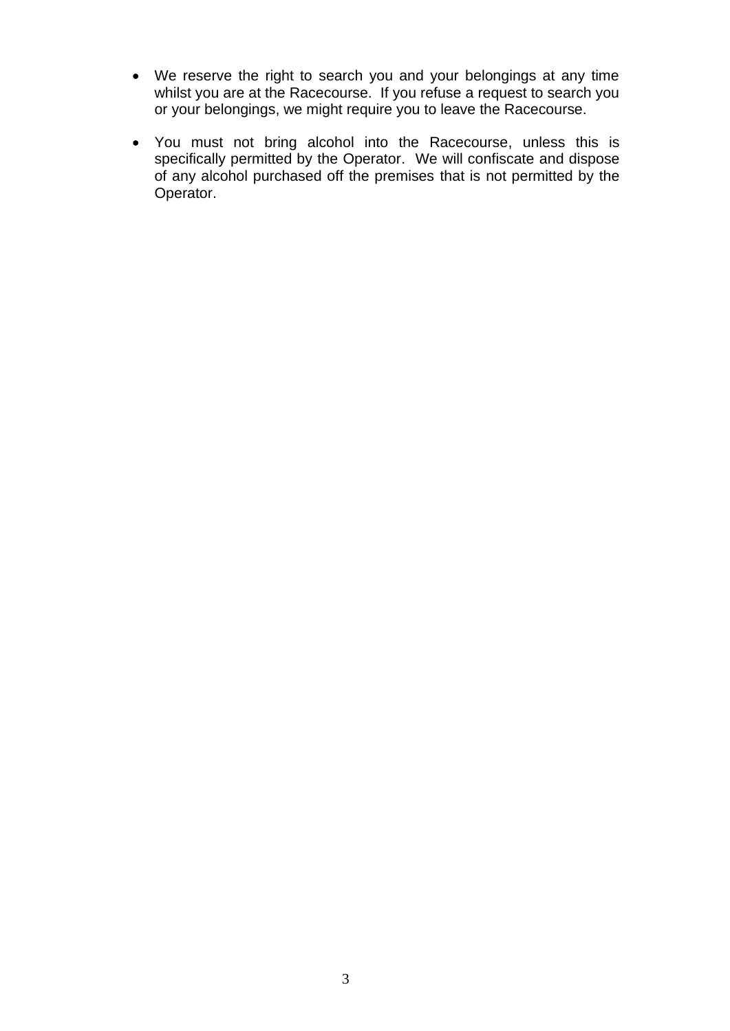- We reserve the right to search you and your belongings at any time whilst you are at the Racecourse. If you refuse a request to search you or your belongings, we might require you to leave the Racecourse.
- You must not bring alcohol into the Racecourse, unless this is specifically permitted by the Operator. We will confiscate and dispose of any alcohol purchased off the premises that is not permitted by the Operator.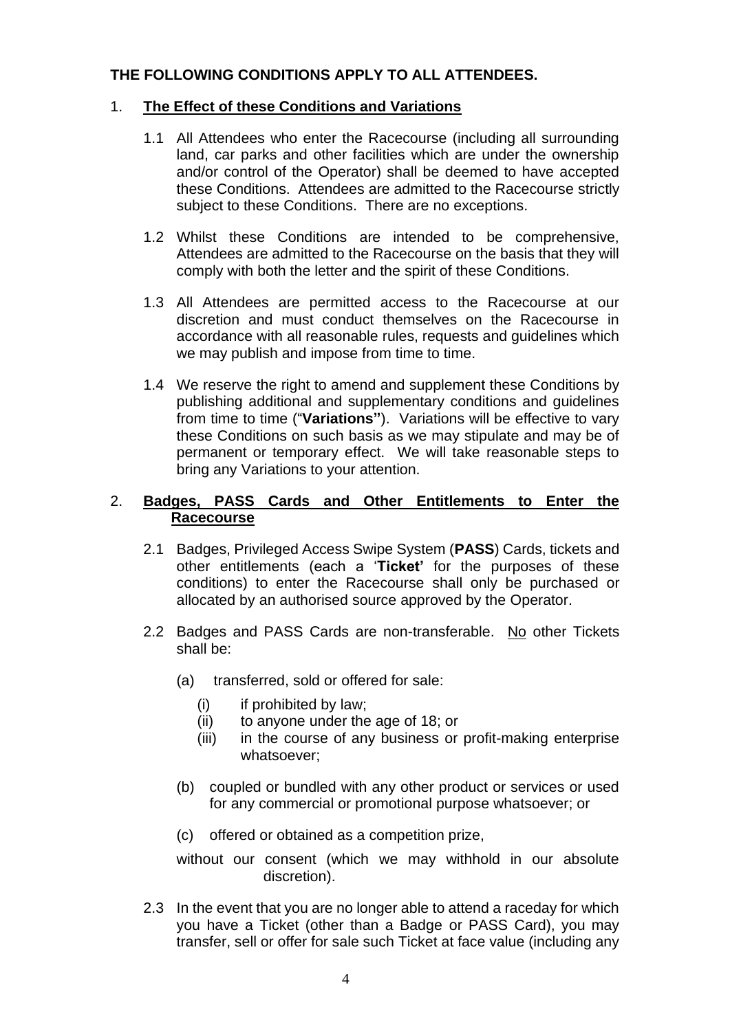# **THE FOLLOWING CONDITIONS APPLY TO ALL ATTENDEES.**

#### <span id="page-3-0"></span>1. **The Effect of these Conditions and Variations**

- 1.1 All Attendees who enter the Racecourse (including all surrounding land, car parks and other facilities which are under the ownership and/or control of the Operator) shall be deemed to have accepted these Conditions. Attendees are admitted to the Racecourse strictly subject to these Conditions. There are no exceptions.
- 1.2 Whilst these Conditions are intended to be comprehensive, Attendees are admitted to the Racecourse on the basis that they will comply with both the letter and the spirit of these Conditions.
- 1.3 All Attendees are permitted access to the Racecourse at our discretion and must conduct themselves on the Racecourse in accordance with all reasonable rules, requests and guidelines which we may publish and impose from time to time.
- 1.4 We reserve the right to amend and supplement these Conditions by publishing additional and supplementary conditions and guidelines from time to time ("**Variations"**). Variations will be effective to vary these Conditions on such basis as we may stipulate and may be of permanent or temporary effect. We will take reasonable steps to bring any Variations to your attention.

#### <span id="page-3-1"></span>2. **Badges, PASS Cards and Other Entitlements to Enter the Racecourse**

- 2.1 Badges, Privileged Access Swipe System (**PASS**) Cards, tickets and other entitlements (each a '**Ticket'** for the purposes of these conditions) to enter the Racecourse shall only be purchased or allocated by an authorised source approved by the Operator.
- 2.2 Badges and PASS Cards are non-transferable. No other Tickets shall be:
	- (a) transferred, sold or offered for sale:
		- (i) if prohibited by law;
		- (ii) to anyone under the age of 18; or
		- (iii) in the course of any business or profit-making enterprise whatsoever;
	- (b) coupled or bundled with any other product or services or used for any commercial or promotional purpose whatsoever; or
	- (c) offered or obtained as a competition prize,

without our consent (which we may withhold in our absolute discretion).

<span id="page-3-2"></span>2.3 In the event that you are no longer able to attend a raceday for which you have a Ticket (other than a Badge or PASS Card), you may transfer, sell or offer for sale such Ticket at face value (including any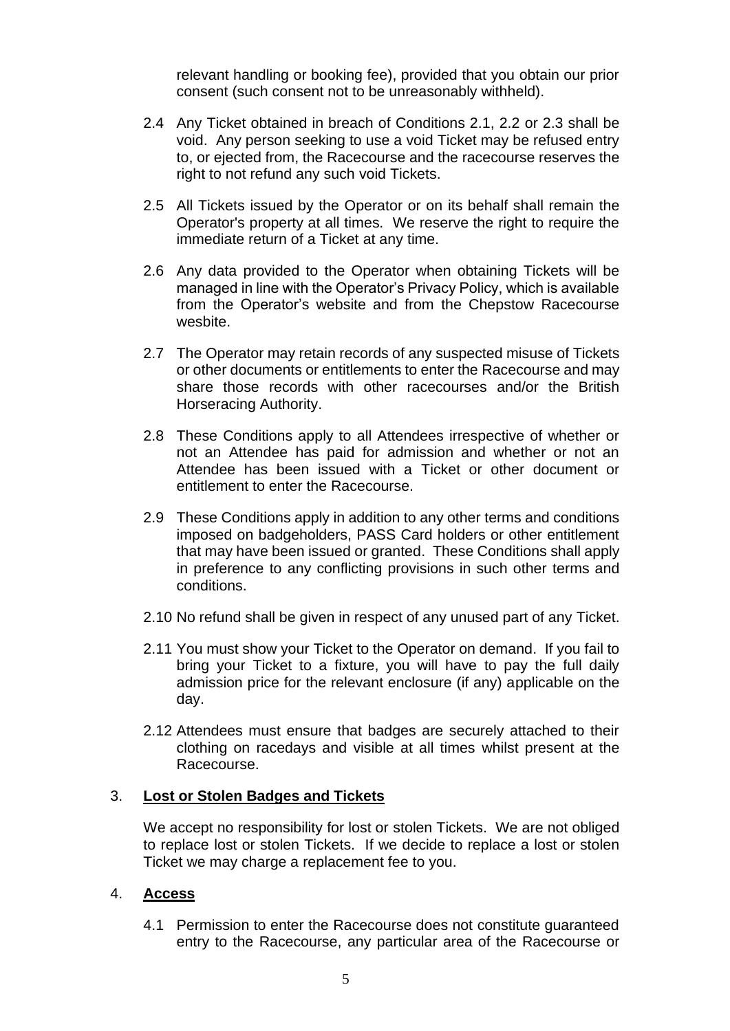relevant handling or booking fee), provided that you obtain our prior consent (such consent not to be unreasonably withheld).

- 2.4 Any Ticket obtained in breach of Conditions 2.1, 2.2 or [2.3](#page-3-2) shall be void. Any person seeking to use a void Ticket may be refused entry to, or ejected from, the Racecourse and the racecourse reserves the right to not refund any such void Tickets.
- 2.5 All Tickets issued by the Operator or on its behalf shall remain the Operator's property at all times. We reserve the right to require the immediate return of a Ticket at any time.
- 2.6 Any data provided to the Operator when obtaining Tickets will be managed in line with the Operator's Privacy Policy, which is available from the Operator's website and from the Chepstow Racecourse wesbite.
- 2.7 The Operator may retain records of any suspected misuse of Tickets or other documents or entitlements to enter the Racecourse and may share those records with other racecourses and/or the British Horseracing Authority.
- 2.8 These Conditions apply to all Attendees irrespective of whether or not an Attendee has paid for admission and whether or not an Attendee has been issued with a Ticket or other document or entitlement to enter the Racecourse.
- 2.9 These Conditions apply in addition to any other terms and conditions imposed on badgeholders, PASS Card holders or other entitlement that may have been issued or granted. These Conditions shall apply in preference to any conflicting provisions in such other terms and conditions.
- 2.10 No refund shall be given in respect of any unused part of any Ticket.
- 2.11 You must show your Ticket to the Operator on demand. If you fail to bring your Ticket to a fixture, you will have to pay the full daily admission price for the relevant enclosure (if any) applicable on the day.
- 2.12 Attendees must ensure that badges are securely attached to their clothing on racedays and visible at all times whilst present at the Racecourse.

#### <span id="page-4-0"></span>3. **Lost or Stolen Badges and Tickets**

We accept no responsibility for lost or stolen Tickets. We are not obliged to replace lost or stolen Tickets. If we decide to replace a lost or stolen Ticket we may charge a replacement fee to you.

#### <span id="page-4-1"></span>4. **Access**

4.1 Permission to enter the Racecourse does not constitute guaranteed entry to the Racecourse, any particular area of the Racecourse or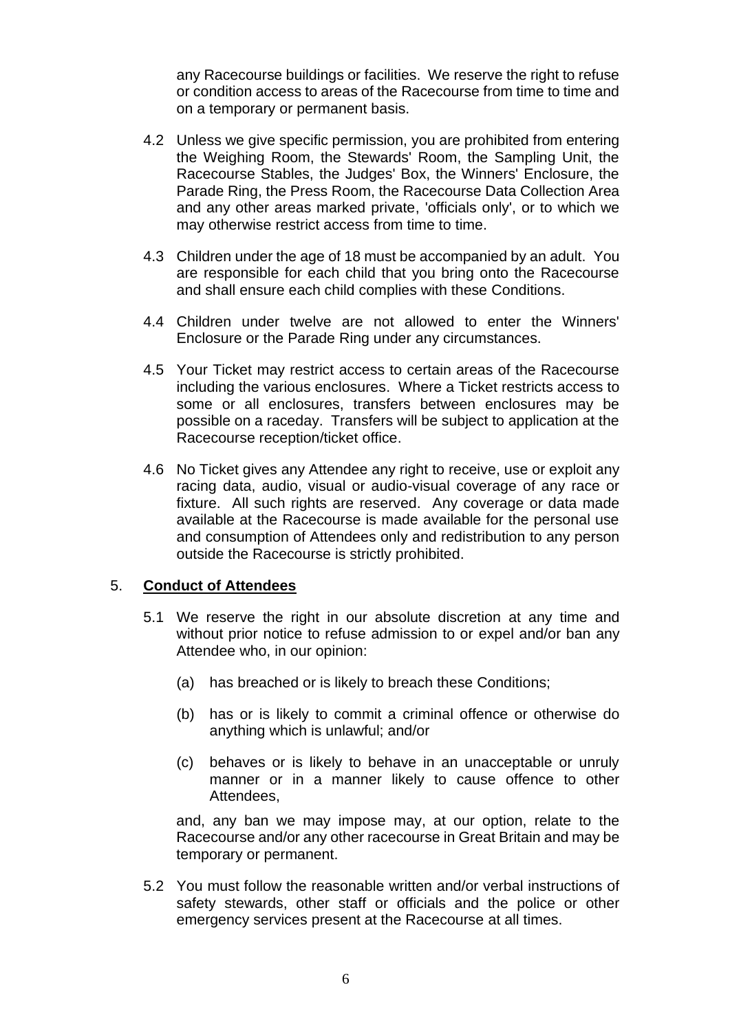any Racecourse buildings or facilities. We reserve the right to refuse or condition access to areas of the Racecourse from time to time and on a temporary or permanent basis.

- 4.2 Unless we give specific permission, you are prohibited from entering the Weighing Room, the Stewards' Room, the Sampling Unit, the Racecourse Stables, the Judges' Box, the Winners' Enclosure, the Parade Ring, the Press Room, the Racecourse Data Collection Area and any other areas marked private, 'officials only', or to which we may otherwise restrict access from time to time.
- 4.3 Children under the age of 18 must be accompanied by an adult. You are responsible for each child that you bring onto the Racecourse and shall ensure each child complies with these Conditions.
- 4.4 Children under twelve are not allowed to enter the Winners' Enclosure or the Parade Ring under any circumstances.
- 4.5 Your Ticket may restrict access to certain areas of the Racecourse including the various enclosures. Where a Ticket restricts access to some or all enclosures, transfers between enclosures may be possible on a raceday. Transfers will be subject to application at the Racecourse reception/ticket office.
- 4.6 No Ticket gives any Attendee any right to receive, use or exploit any racing data, audio, visual or audio-visual coverage of any race or fixture. All such rights are reserved. Any coverage or data made available at the Racecourse is made available for the personal use and consumption of Attendees only and redistribution to any person outside the Racecourse is strictly prohibited.

#### <span id="page-5-0"></span>5. **Conduct of Attendees**

- 5.1 We reserve the right in our absolute discretion at any time and without prior notice to refuse admission to or expel and/or ban any Attendee who, in our opinion:
	- (a) has breached or is likely to breach these Conditions;
	- (b) has or is likely to commit a criminal offence or otherwise do anything which is unlawful; and/or
	- (c) behaves or is likely to behave in an unacceptable or unruly manner or in a manner likely to cause offence to other Attendees,

and, any ban we may impose may, at our option, relate to the Racecourse and/or any other racecourse in Great Britain and may be temporary or permanent.

5.2 You must follow the reasonable written and/or verbal instructions of safety stewards, other staff or officials and the police or other emergency services present at the Racecourse at all times.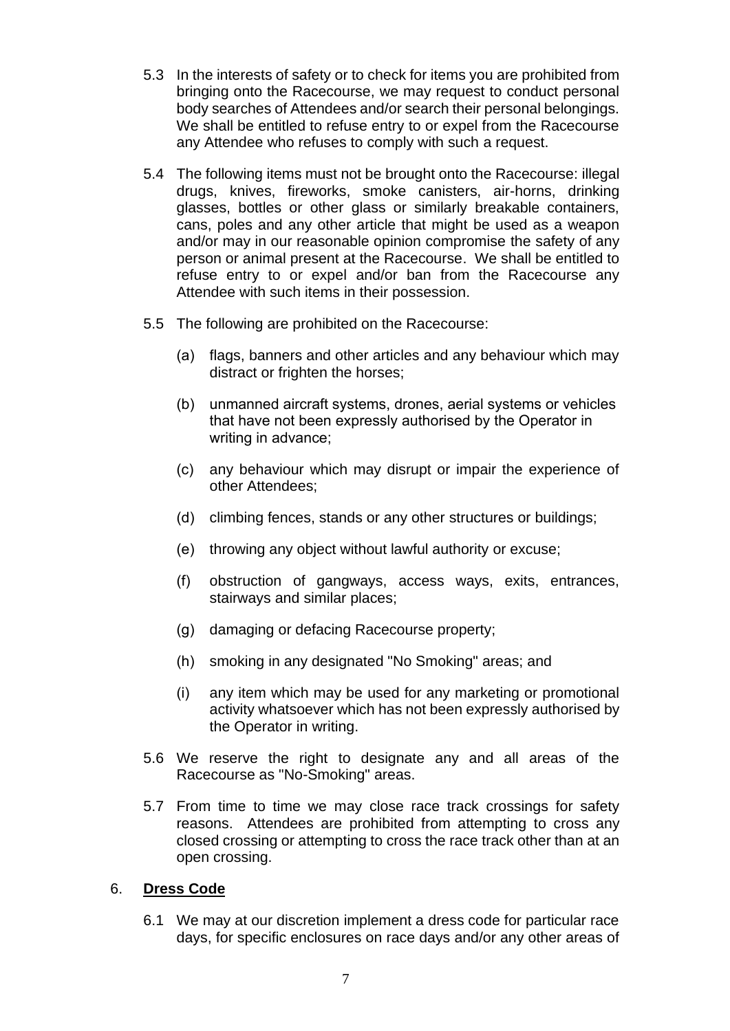- 5.3 In the interests of safety or to check for items you are prohibited from bringing onto the Racecourse, we may request to conduct personal body searches of Attendees and/or search their personal belongings. We shall be entitled to refuse entry to or expel from the Racecourse any Attendee who refuses to comply with such a request.
- 5.4 The following items must not be brought onto the Racecourse: illegal drugs, knives, fireworks, smoke canisters, air-horns, drinking glasses, bottles or other glass or similarly breakable containers, cans, poles and any other article that might be used as a weapon and/or may in our reasonable opinion compromise the safety of any person or animal present at the Racecourse. We shall be entitled to refuse entry to or expel and/or ban from the Racecourse any Attendee with such items in their possession.
- 5.5 The following are prohibited on the Racecourse:
	- (a) flags, banners and other articles and any behaviour which may distract or frighten the horses;
	- (b) unmanned aircraft systems, drones, aerial systems or vehicles that have not been expressly authorised by the Operator in writing in advance;
	- (c) any behaviour which may disrupt or impair the experience of other Attendees;
	- (d) climbing fences, stands or any other structures or buildings;
	- (e) throwing any object without lawful authority or excuse;
	- (f) obstruction of gangways, access ways, exits, entrances, stairways and similar places;
	- (g) damaging or defacing Racecourse property;
	- (h) smoking in any designated "No Smoking" areas; and
	- (i) any item which may be used for any marketing or promotional activity whatsoever which has not been expressly authorised by the Operator in writing.
- 5.6 We reserve the right to designate any and all areas of the Racecourse as "No-Smoking" areas.
- 5.7 From time to time we may close race track crossings for safety reasons. Attendees are prohibited from attempting to cross any closed crossing or attempting to cross the race track other than at an open crossing.

#### <span id="page-6-0"></span>6. **Dress Code**

6.1 We may at our discretion implement a dress code for particular race days, for specific enclosures on race days and/or any other areas of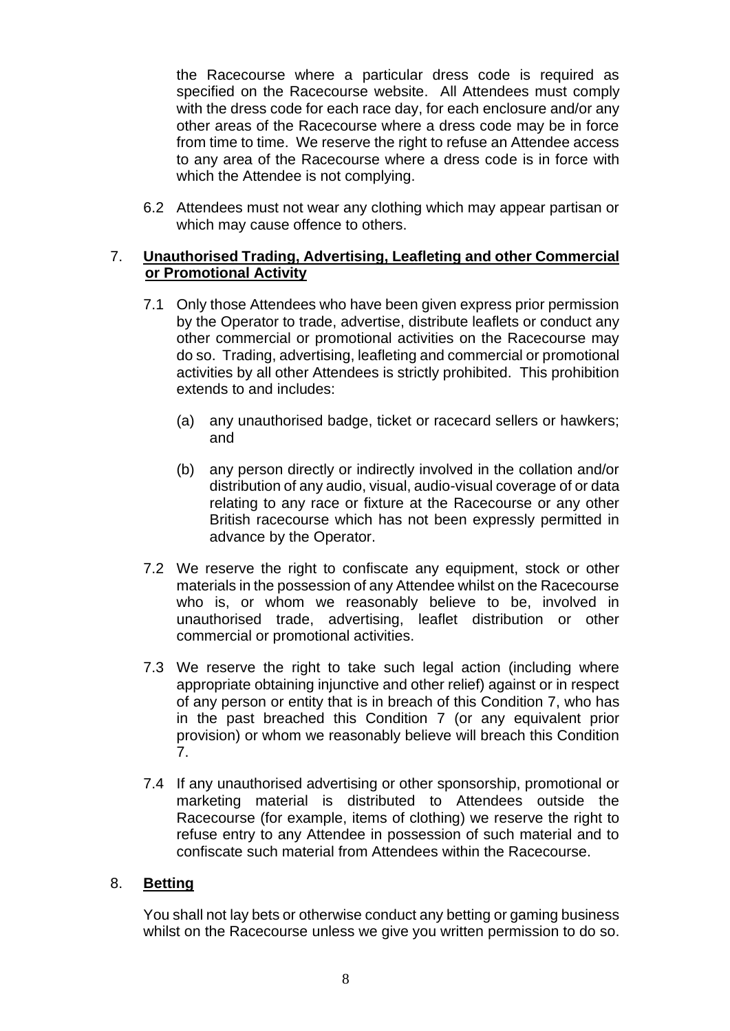the Racecourse where a particular dress code is required as specified on the Racecourse website. All Attendees must comply with the dress code for each race day, for each enclosure and/or any other areas of the Racecourse where a dress code may be in force from time to time. We reserve the right to refuse an Attendee access to any area of the Racecourse where a dress code is in force with which the Attendee is not complying.

6.2 Attendees must not wear any clothing which may appear partisan or which may cause offence to others.

#### <span id="page-7-0"></span>7. **Unauthorised Trading, Advertising, Leafleting and other Commercial or Promotional Activity**

- 7.1 Only those Attendees who have been given express prior permission by the Operator to trade, advertise, distribute leaflets or conduct any other commercial or promotional activities on the Racecourse may do so. Trading, advertising, leafleting and commercial or promotional activities by all other Attendees is strictly prohibited. This prohibition extends to and includes:
	- (a) any unauthorised badge, ticket or racecard sellers or hawkers; and
	- (b) any person directly or indirectly involved in the collation and/or distribution of any audio, visual, audio-visual coverage of or data relating to any race or fixture at the Racecourse or any other British racecourse which has not been expressly permitted in advance by the Operator.
- 7.2 We reserve the right to confiscate any equipment, stock or other materials in the possession of any Attendee whilst on the Racecourse who is, or whom we reasonably believe to be, involved in unauthorised trade, advertising, leaflet distribution or other commercial or promotional activities.
- 7.3 We reserve the right to take such legal action (including where appropriate obtaining injunctive and other relief) against or in respect of any person or entity that is in breach of this Condition [7,](#page-7-0) who has in the past breached this Condition [7](#page-7-0) (or any equivalent prior provision) or whom we reasonably believe will breach this Condition [7.](#page-7-0)
- 7.4 If any unauthorised advertising or other sponsorship, promotional or marketing material is distributed to Attendees outside the Racecourse (for example, items of clothing) we reserve the right to refuse entry to any Attendee in possession of such material and to confiscate such material from Attendees within the Racecourse.

#### <span id="page-7-1"></span>8. **Betting**

You shall not lay bets or otherwise conduct any betting or gaming business whilst on the Racecourse unless we give you written permission to do so.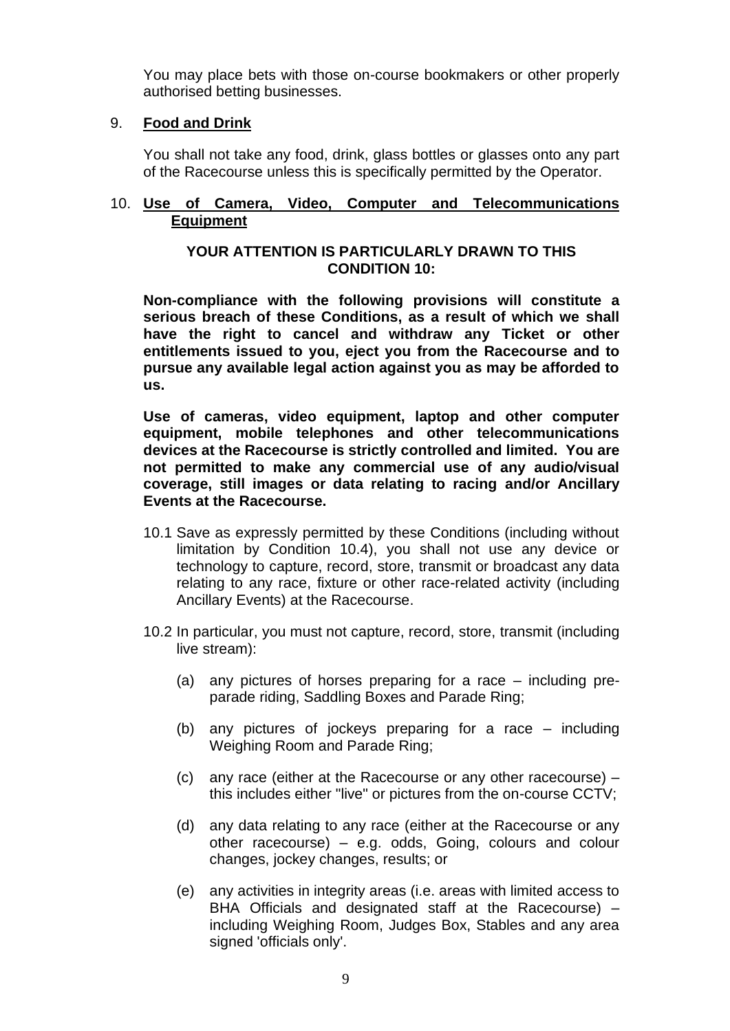You may place bets with those on-course bookmakers or other properly authorised betting businesses.

#### <span id="page-8-0"></span>9. **Food and Drink**

You shall not take any food, drink, glass bottles or glasses onto any part of the Racecourse unless this is specifically permitted by the Operator.

#### <span id="page-8-1"></span>10. **Use of Camera, Video, Computer and Telecommunications Equipment**

#### **YOUR ATTENTION IS PARTICULARLY DRAWN TO THIS CONDITION 10:**

**Non-compliance with the following provisions will constitute a serious breach of these Conditions, as a result of which we shall have the right to cancel and withdraw any Ticket or other entitlements issued to you, eject you from the Racecourse and to pursue any available legal action against you as may be afforded to us.** 

**Use of cameras, video equipment, laptop and other computer equipment, mobile telephones and other telecommunications devices at the Racecourse is strictly controlled and limited. You are not permitted to make any commercial use of any audio/visual coverage, still images or data relating to racing and/or Ancillary Events at the Racecourse.** 

- 10.1 Save as expressly permitted by these Conditions (including without limitation by Condition 10.4), you shall not use any device or technology to capture, record, store, transmit or broadcast any data relating to any race, fixture or other race-related activity (including Ancillary Events) at the Racecourse.
- 10.2 In particular, you must not capture, record, store, transmit (including live stream):
	- (a) any pictures of horses preparing for a race including preparade riding, Saddling Boxes and Parade Ring;
	- (b) any pictures of jockeys preparing for a race including Weighing Room and Parade Ring;
	- (c) any race (either at the Racecourse or any other racecourse) this includes either "live" or pictures from the on-course CCTV;
	- (d) any data relating to any race (either at the Racecourse or any other racecourse) – e.g. odds, Going, colours and colour changes, jockey changes, results; or
	- (e) any activities in integrity areas (i.e. areas with limited access to BHA Officials and designated staff at the Racecourse) – including Weighing Room, Judges Box, Stables and any area signed 'officials only'.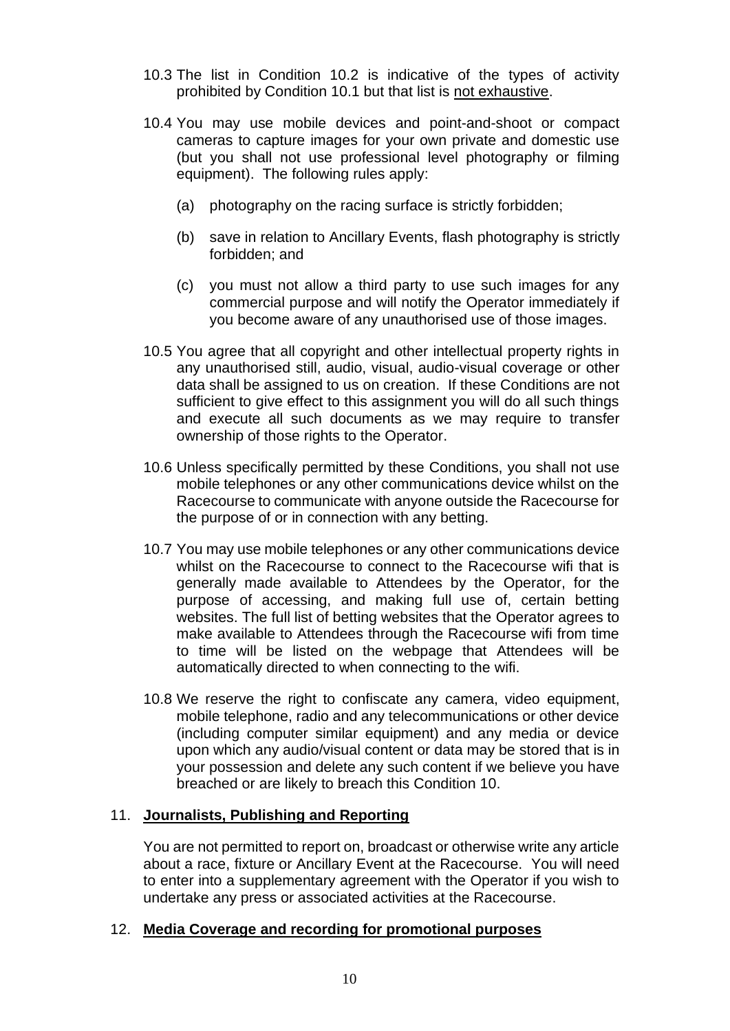- 10.3 The list in Condition 10.2 is indicative of the types of activity prohibited by Condition 10.1 but that list is not exhaustive.
- 10.4 You may use mobile devices and point-and-shoot or compact cameras to capture images for your own private and domestic use (but you shall not use professional level photography or filming equipment). The following rules apply:
	- (a) photography on the racing surface is strictly forbidden;
	- (b) save in relation to Ancillary Events, flash photography is strictly forbidden; and
	- (c) you must not allow a third party to use such images for any commercial purpose and will notify the Operator immediately if you become aware of any unauthorised use of those images.
- 10.5 You agree that all copyright and other intellectual property rights in any unauthorised still, audio, visual, audio-visual coverage or other data shall be assigned to us on creation. If these Conditions are not sufficient to give effect to this assignment you will do all such things and execute all such documents as we may require to transfer ownership of those rights to the Operator.
- 10.6 Unless specifically permitted by these Conditions, you shall not use mobile telephones or any other communications device whilst on the Racecourse to communicate with anyone outside the Racecourse for the purpose of or in connection with any betting.
- 10.7 You may use mobile telephones or any other communications device whilst on the Racecourse to connect to the Racecourse wifi that is generally made available to Attendees by the Operator, for the purpose of accessing, and making full use of, certain betting websites. The full list of betting websites that the Operator agrees to make available to Attendees through the Racecourse wifi from time to time will be listed on the webpage that Attendees will be automatically directed to when connecting to the wifi.
- 10.8 We reserve the right to confiscate any camera, video equipment, mobile telephone, radio and any telecommunications or other device (including computer similar equipment) and any media or device upon which any audio/visual content or data may be stored that is in your possession and delete any such content if we believe you have breached or are likely to breach this Condition 10.

## <span id="page-9-0"></span>11. **Journalists, Publishing and Reporting**

You are not permitted to report on, broadcast or otherwise write any article about a race, fixture or Ancillary Event at the Racecourse. You will need to enter into a supplementary agreement with the Operator if you wish to undertake any press or associated activities at the Racecourse.

#### <span id="page-9-1"></span>12. **Media Coverage and recording for promotional purposes**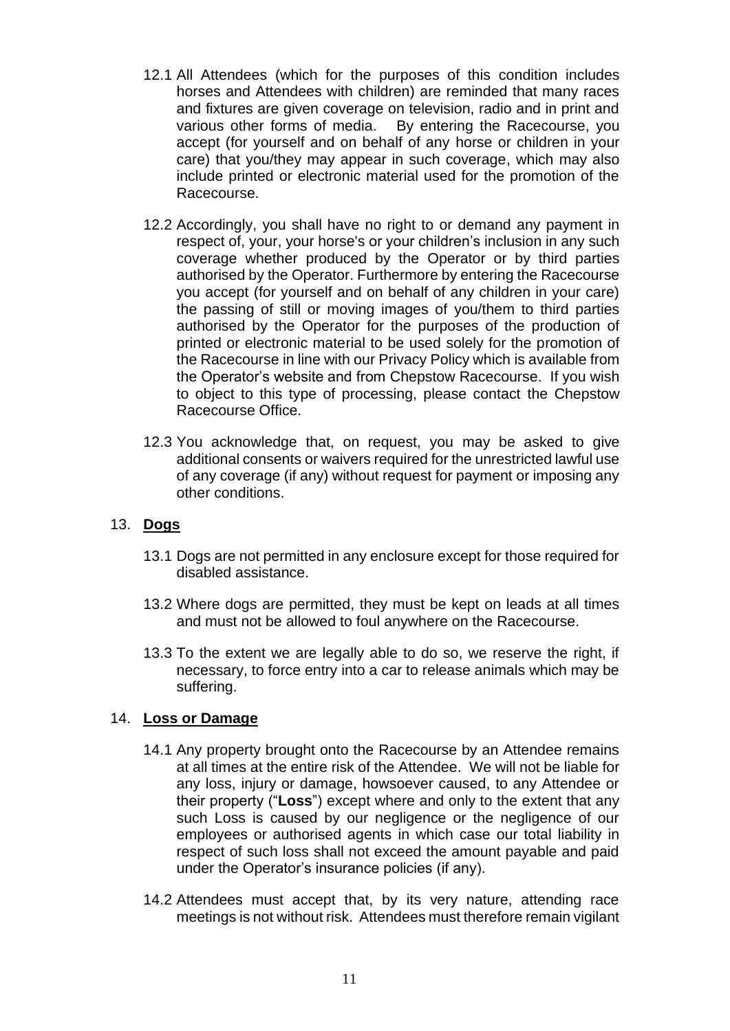- 12.1 All Attendees (which for the purposes of this condition includes horses and Attendees with children) are reminded that many races and fixtures are given coverage on television, radio and in print and various other forms of media. By entering the Racecourse, you accept (for yourself and on behalf of any horse or children in your care) that you/they may appear in such coverage, which may also include printed or electronic material used for the promotion of the Racecourse.
- 12.2 Accordingly, you shall have no right to or demand any payment in respect of, your, your horse's or your children's inclusion in any such coverage whether produced by the Operator or by third parties authorised by the Operator. Furthermore by entering the Racecourse you accept (for yourself and on behalf of any children in your care) the passing of still or moving images of you/them to third parties authorised by the Operator for the purposes of the production of printed or electronic material to be used solely for the promotion of the Racecourse in line with our Privacy Policy which is available from the Operator's website and from Chepstow Racecourse. If you wish to object to this type of processing, please contact the Chepstow Racecourse Office.
- 12.3 You acknowledge that, on request, you may be asked to give additional consents or waivers required for the unrestricted lawful use of any coverage (if any) without request for payment or imposing any other conditions.

#### <span id="page-10-0"></span>13. **Dogs**

- 13.1 Dogs are not permitted in any enclosure except for those required for disabled assistance.
- 13.2 Where dogs are permitted, they must be kept on leads at all times and must not be allowed to foul anywhere on the Racecourse.
- 13.3 To the extent we are legally able to do so, we reserve the right, if necessary, to force entry into a car to release animals which may be suffering.

#### <span id="page-10-1"></span>14. **Loss or Damage**

- 14.1 Any property brought onto the Racecourse by an Attendee remains at all times at the entire risk of the Attendee. We will not be liable for any loss, injury or damage, howsoever caused, to any Attendee or their property ("**Loss**") except where and only to the extent that any such Loss is caused by our negligence or the negligence of our employees or authorised agents in which case our total liability in respect of such loss shall not exceed the amount payable and paid under the Operator's insurance policies (if any).
- 14.2 Attendees must accept that, by its very nature, attending race meetings is not without risk. Attendees must therefore remain vigilant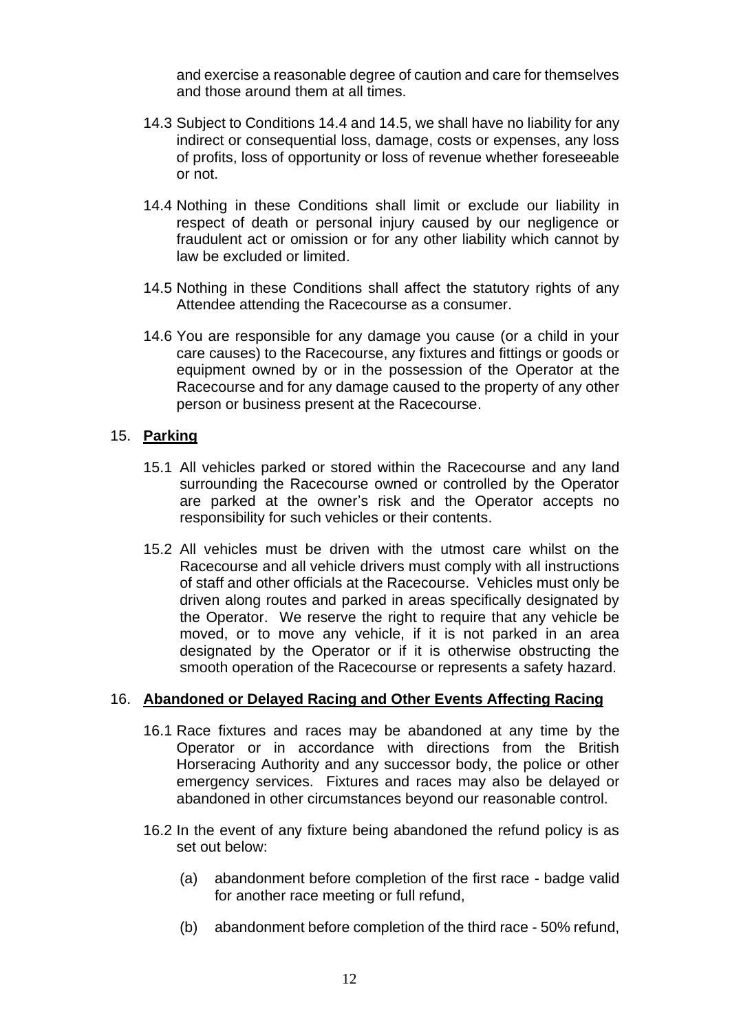and exercise a reasonable degree of caution and care for themselves and those around them at all times.

- 14.3 Subject to Conditions 14.4 and 14.5, we shall have no liability for any indirect or consequential loss, damage, costs or expenses, any loss of profits, loss of opportunity or loss of revenue whether foreseeable or not.
- 14.4 Nothing in these Conditions shall limit or exclude our liability in respect of death or personal injury caused by our negligence or fraudulent act or omission or for any other liability which cannot by law be excluded or limited.
- 14.5 Nothing in these Conditions shall affect the statutory rights of any Attendee attending the Racecourse as a consumer.
- 14.6 You are responsible for any damage you cause (or a child in your care causes) to the Racecourse, any fixtures and fittings or goods or equipment owned by or in the possession of the Operator at the Racecourse and for any damage caused to the property of any other person or business present at the Racecourse.

#### <span id="page-11-0"></span>15. **Parking**

- 15.1 All vehicles parked or stored within the Racecourse and any land surrounding the Racecourse owned or controlled by the Operator are parked at the owner's risk and the Operator accepts no responsibility for such vehicles or their contents.
- 15.2 All vehicles must be driven with the utmost care whilst on the Racecourse and all vehicle drivers must comply with all instructions of staff and other officials at the Racecourse. Vehicles must only be driven along routes and parked in areas specifically designated by the Operator. We reserve the right to require that any vehicle be moved, or to move any vehicle, if it is not parked in an area designated by the Operator or if it is otherwise obstructing the smooth operation of the Racecourse or represents a safety hazard.

#### <span id="page-11-1"></span>16. **Abandoned or Delayed Racing and Other Events Affecting Racing**

- 16.1 Race fixtures and races may be abandoned at any time by the Operator or in accordance with directions from the British Horseracing Authority and any successor body, the police or other emergency services. Fixtures and races may also be delayed or abandoned in other circumstances beyond our reasonable control.
- 16.2 In the event of any fixture being abandoned the refund policy is as set out below:
	- (a) abandonment before completion of the first race badge valid for another race meeting or full refund,
	- (b) abandonment before completion of the third race 50% refund,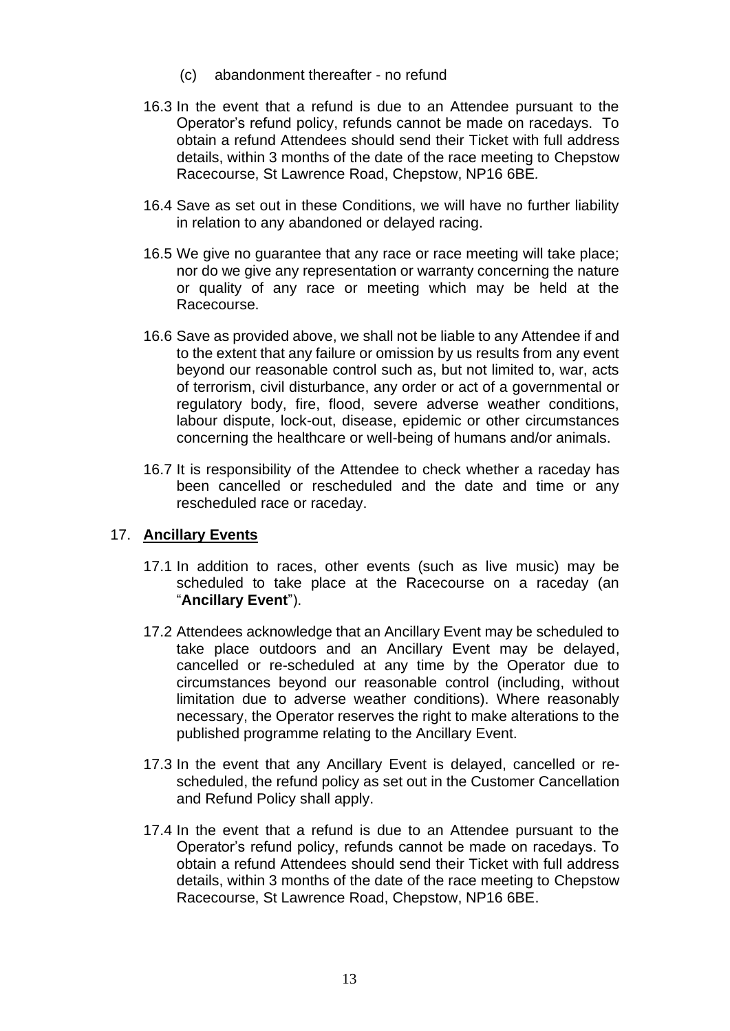- (c) abandonment thereafter no refund
- 16.3 In the event that a refund is due to an Attendee pursuant to the Operator's refund policy, refunds cannot be made on racedays. To obtain a refund Attendees should send their Ticket with full address details, within 3 months of the date of the race meeting to Chepstow Racecourse, St Lawrence Road, Chepstow, NP16 6BE*.*
- 16.4 Save as set out in these Conditions, we will have no further liability in relation to any abandoned or delayed racing.
- 16.5 We give no guarantee that any race or race meeting will take place; nor do we give any representation or warranty concerning the nature or quality of any race or meeting which may be held at the Racecourse.
- 16.6 Save as provided above, we shall not be liable to any Attendee if and to the extent that any failure or omission by us results from any event beyond our reasonable control such as, but not limited to, war, acts of terrorism, civil disturbance, any order or act of a governmental or regulatory body, fire, flood, severe adverse weather conditions, labour dispute, lock-out, disease, epidemic or other circumstances concerning the healthcare or well-being of humans and/or animals.
- 16.7 It is responsibility of the Attendee to check whether a raceday has been cancelled or rescheduled and the date and time or any rescheduled race or raceday.

#### <span id="page-12-0"></span>17. **Ancillary Events**

- 17.1 In addition to races, other events (such as live music) may be scheduled to take place at the Racecourse on a raceday (an "**Ancillary Event**").
- 17.2 Attendees acknowledge that an Ancillary Event may be scheduled to take place outdoors and an Ancillary Event may be delayed, cancelled or re-scheduled at any time by the Operator due to circumstances beyond our reasonable control (including, without limitation due to adverse weather conditions). Where reasonably necessary, the Operator reserves the right to make alterations to the published programme relating to the Ancillary Event.
- 17.3 In the event that any Ancillary Event is delayed, cancelled or rescheduled, the refund policy as set out in the Customer Cancellation and Refund Policy shall apply.
- 17.4 In the event that a refund is due to an Attendee pursuant to the Operator's refund policy, refunds cannot be made on racedays. To obtain a refund Attendees should send their Ticket with full address details, within 3 months of the date of the race meeting to Chepstow Racecourse, St Lawrence Road, Chepstow, NP16 6BE.